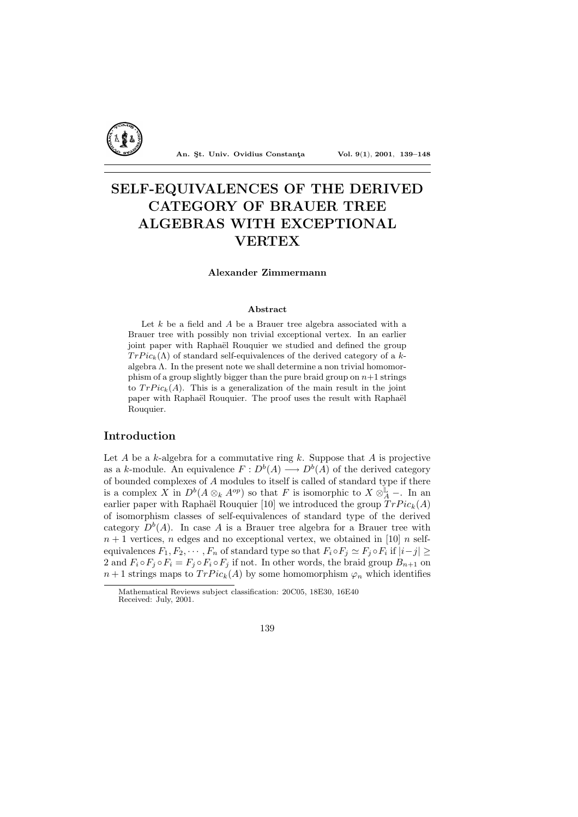

An. Şt. Univ. Ovidius Constanta Vol. 9(1), 2001, 139-148

# SELF-EQUIVALENCES OF THE DERIVED CATEGORY OF BRAUER TREE ALGEBRAS WITH EXCEPTIONAL **VERTEX**

### Alexander Zimmermann

#### Abstract

Let  $k$  be a field and  $A$  be a Brauer tree algebra associated with a Brauer tree with possibly non trivial exceptional vertex. In an earlier joint paper with Raphaël Rouquier we studied and defined the group  $TrPic_k(\Lambda)$  of standard self-equivalences of the derived category of a kalgebra  $\Lambda$ . In the present note we shall determine a non trivial homomorphism of a group slightly bigger than the pure braid group on  $n+1$  strings to  $TrPic_k(A)$ . This is a generalization of the main result in the joint paper with Raphaël Rouquier. The proof uses the result with Raphaël Rouquier.

# Introduction

Let  $A$  be a  $k$ -algebra for a commutative ring  $k$ . Suppose that  $A$  is projective as a k-module. An equivalence  $F: D^b(A) \longrightarrow D^b(A)$  of the derived category of bounded complexes of A modules to itself is called of standard type if there is a complex X in  $D^b(A \otimes_k A^{op})$  so that F is isomorphic to  $X \otimes_A^{\mathbb{L}}$  -. In an earlier paper with Raphaël Rouquier [10] we introduced the group  $TrPic_k(A)$ of isomorphism classes of self-equivalences of standard type of the derived category  $D^{b}(A)$ . In case A is a Brauer tree algebra for a Brauer tree with  $n + 1$  vertices, n edges and no exceptional vertex, we obtained in [10] n selfequivalences  $F_1, F_2, \cdots, F_n$  of standard type so that  $F_i \circ F_j \simeq F_j \circ F_i$  if  $|i-j| \geq$ 2 and  $F_i \circ F_j \circ F_i = F_j \circ F_i \circ F_j$  if not. In other words, the braid group  $B_{n+1}$  on  $n+1$  strings maps to  $TrPic_k(A)$  by some homomorphism  $\varphi_n$  which identifies

Mathematical Reviews subject classification: 20C05, 18E30, 16E40 Received: July, 2001.

<sup>139</sup>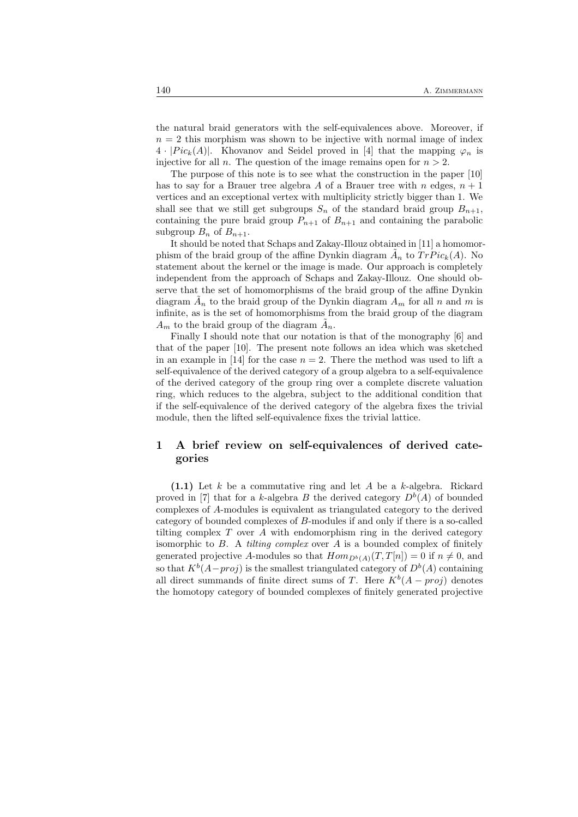the natural braid generators with the self-equivalences above. Moreover, if  $n = 2$  this morphism was shown to be injective with normal image of index  $4 \cdot |Pic_k(A)|$ . Khovanov and Seidel proved in [4] that the mapping  $\varphi_n$  is injective for all n. The question of the image remains open for  $n > 2$ .

The purpose of this note is to see what the construction in the paper [10] has to say for a Brauer tree algebra A of a Brauer tree with n edges,  $n + 1$ vertices and an exceptional vertex with multiplicity strictly bigger than 1. We shall see that we still get subgroups  $S_n$  of the standard braid group  $B_{n+1}$ , containing the pure braid group  $P_{n+1}$  of  $B_{n+1}$  and containing the parabolic subgroup  $B_n$  of  $B_{n+1}$ .

It should be noted that Schaps and Zakay-Illouz obtained in [11] a homomorphism of the braid group of the affine Dynkin diagram  $\tilde{A}_n$  to  $TrPic_k(A)$ . No statement about the kernel or the image is made. Our approach is completely independent from the approach of Schaps and Zakay-Illouz. One should observe that the set of homomorphisms of the braid group of the affine Dynkin diagram  $\tilde{A}_n$  to the braid group of the Dynkin diagram  $A_m$  for all n and m is infinite, as is the set of homomorphisms from the braid group of the diagram  $A_m$  to the braid group of the diagram  $\tilde{A}_n$ .

Finally I should note that our notation is that of the monography [6] and that of the paper [10]. The present note follows an idea which was sketched in an example in [14] for the case  $n = 2$ . There the method was used to lift a self-equivalence of the derived category of a group algebra to a self-equivalence of the derived category of the group ring over a complete discrete valuation ring, which reduces to the algebra, subject to the additional condition that if the self-equivalence of the derived category of the algebra fixes the trivial module, then the lifted self-equivalence fixes the trivial lattice.

# 1 A brief review on self-equivalences of derived categories

 $(1.1)$  Let k be a commutative ring and let A be a k-algebra. Rickard proved in [7] that for a k-algebra B the derived category  $D<sup>b</sup>(A)$  of bounded complexes of A-modules is equivalent as triangulated category to the derived category of bounded complexes of B-modules if and only if there is a so-called tilting complex  $T$  over  $A$  with endomorphism ring in the derived category isomorphic to  $B$ . A *tilting complex* over  $A$  is a bounded complex of finitely generated projective A-modules so that  $Hom_{D^b(A)}(T,T[n]) = 0$  if  $n \neq 0$ , and so that  $K^b(A - proj)$  is the smallest triangulated category of  $D^b(A)$  containing all direct summands of finite direct sums of T. Here  $K^b(A - proj)$  denotes the homotopy category of bounded complexes of finitely generated projective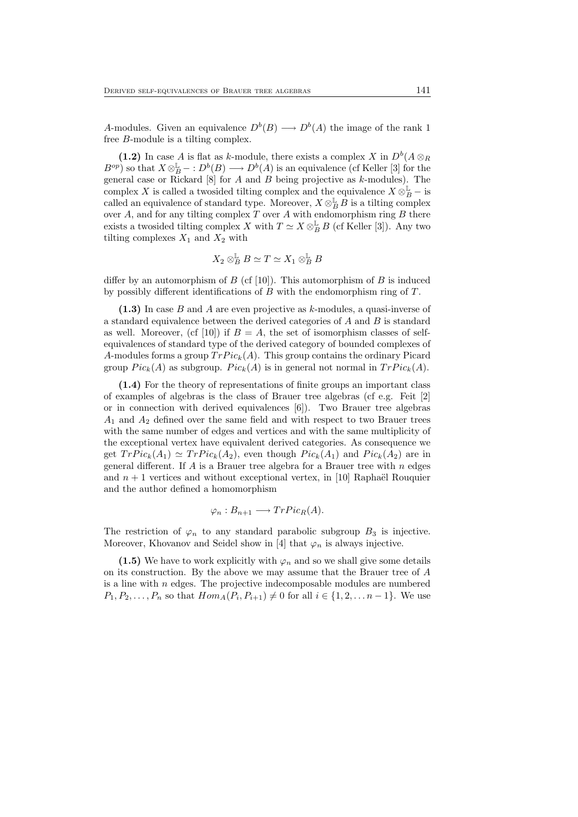A-modules. Given an equivalence  $D^b(B) \longrightarrow D^b(A)$  the image of the rank 1 free B-module is a tilting complex.

(1.2) In case A is flat as k-module, there exists a complex X in  $D^b(A \otimes_R A)$  $B^{op}$ ) so that  $X \otimes_B^{\mathbb{L}} - : D^b(B) \longrightarrow D^b(A)$  is an equivalence (cf Keller [3] for the general case or Rickard  $[8]$  for A and B being projective as k-modules). The complex X is called a two sided tilting complex and the equivalence  $X \otimes_B^{\mathbb{L}}$  – is called an equivalence of standard type. Moreover,  $X \otimes_B^{\mathbb{L}} \overrightarrow{B}$  is a tilting complex over A, and for any tilting complex T over A with endomorphism ring  $B$  there exists a twosided tilting complex X with  $T \simeq X \otimes_B^{\mathbb{L}} B$  (cf Keller [3]). Any two tilting complexes  $X_1$  and  $X_2$  with

$$
X_2\otimes_B^{\mathbb{L}} B\simeq T\simeq X_1\otimes_B^{\mathbb{L}} B
$$

differ by an automorphism of  $B$  (cf [10]). This automorphism of  $B$  is induced by possibly different identifications of B with the endomorphism ring of T.

 $(1.3)$  In case B and A are even projective as k-modules, a quasi-inverse of a standard equivalence between the derived categories of A and B is standard as well. Moreover, (cf [10]) if  $B = A$ , the set of isomorphism classes of selfequivalences of standard type of the derived category of bounded complexes of A-modules forms a group  $TrPic_k(A)$ . This group contains the ordinary Picard group  $Pic_k(A)$  as subgroup.  $Pic_k(A)$  is in general not normal in  $TrPic_k(A)$ .

(1.4) For the theory of representations of finite groups an important class of examples of algebras is the class of Brauer tree algebras (cf e.g. Feit [2] or in connection with derived equivalences [6]). Two Brauer tree algebras  $A_1$  and  $A_2$  defined over the same field and with respect to two Brauer trees with the same number of edges and vertices and with the same multiplicity of the exceptional vertex have equivalent derived categories. As consequence we get  $TrPic_k(A_1) \simeq TrPic_k(A_2)$ , even though  $Pic_k(A_1)$  and  $Pic_k(A_2)$  are in general different. If  $A$  is a Brauer tree algebra for a Brauer tree with  $n$  edges and  $n + 1$  vertices and without exceptional vertex, in [10] Raphaël Rouquier and the author defined a homomorphism

$$
\varphi_n : B_{n+1} \longrightarrow TrPic_R(A).
$$

The restriction of  $\varphi_n$  to any standard parabolic subgroup  $B_3$  is injective. Moreover, Khovanov and Seidel show in [4] that  $\varphi_n$  is always injective.

(1.5) We have to work explicitly with  $\varphi_n$  and so we shall give some details on its construction. By the above we may assume that the Brauer tree of A is a line with  $n$  edges. The projective indecomposable modules are numbered  $P_1, P_2, \ldots, P_n$  so that  $Hom_A(P_i, P_{i+1}) \neq 0$  for all  $i \in \{1, 2, \ldots n-1\}$ . We use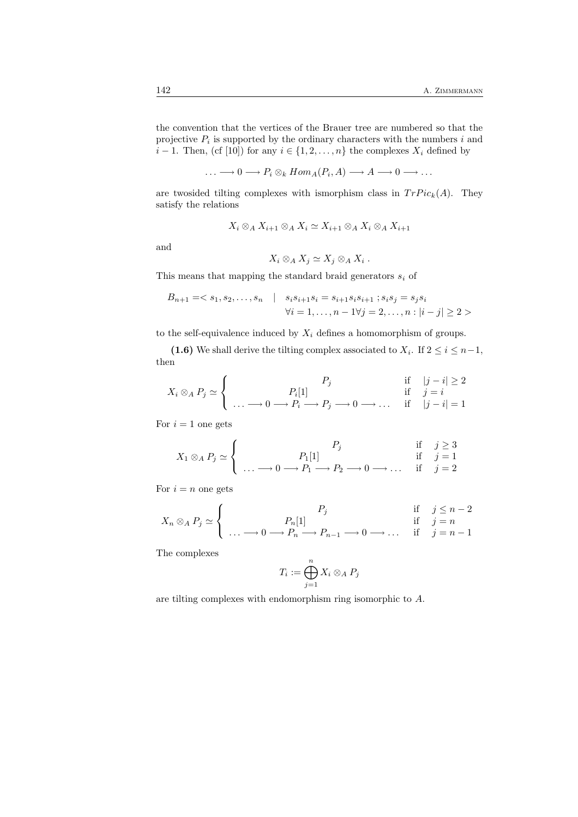the convention that the vertices of the Brauer tree are numbered so that the projective  $P_i$  is supported by the ordinary characters with the numbers i and  $i-1$ . Then, (cf [10]) for any  $i \in \{1, 2, ..., n\}$  the complexes  $X_i$  defined by

$$
\ldots \longrightarrow 0 \longrightarrow P_i \otimes_k Hom_A(P_i, A) \longrightarrow A \longrightarrow 0 \longrightarrow \ldots
$$

are twosided tilting complexes with ismorphism class in  $TrPic_k(A)$ . They satisfy the relations

$$
X_i \otimes_A X_{i+1} \otimes_A X_i \simeq X_{i+1} \otimes_A X_i \otimes_A X_{i+1}
$$

and

$$
X_i \otimes_A X_j \simeq X_j \otimes_A X_i \ .
$$

This means that mapping the standard braid generators  $\boldsymbol{s}_i$  of

$$
B_{n+1} = \langle s_1, s_2, \dots, s_n | s_i s_{i+1} s_i = s_{i+1} s_i s_{i+1} ; s_i s_j = s_j s_i
$$
  

$$
\forall i = 1, \dots, n - 1 \forall j = 2, \dots, n : |i - j| \ge 2 >
$$

to the self-equivalence induced by  $X_i$  defines a homomorphism of groups.

(1.6) We shall derive the tilting complex associated to  $X_i$ . If  $2 \le i \le n-1$ , then

$$
X_i \otimes_A P_j \simeq \left\{ \begin{array}{c} P_j & \text{if} \quad |j-i| \ge 2 \\ \dots \longrightarrow 0 \longrightarrow P_i \longrightarrow P_j \longrightarrow 0 \longrightarrow \dots & \text{if} \quad |j-i| = 1 \end{array} \right.
$$

For  $i = 1$  one gets

$$
X_1 \otimes_A P_j \simeq \begin{cases} P_j & \text{if } j \ge 3 \\ \ldots \longrightarrow 0 \longrightarrow P_1 \longrightarrow P_2 \longrightarrow 0 \longrightarrow \ldots & \text{if } j = 1 \\ 0 & \text{if } j = 2 \end{cases}
$$

For  $i = n$  one gets

$$
X_n \otimes_A P_j \simeq \begin{cases} P_j & \text{if } j \leq n-2 \\ \dots \longrightarrow 0 \longrightarrow P_n \longrightarrow P_{n-1} \longrightarrow 0 \longrightarrow \dots & \text{if } j = n \\ \end{cases}
$$

The complexes

$$
T_i := \bigoplus_{j=1}^n X_i \otimes_A P_j
$$

are tilting complexes with endomorphism ring isomorphic to A.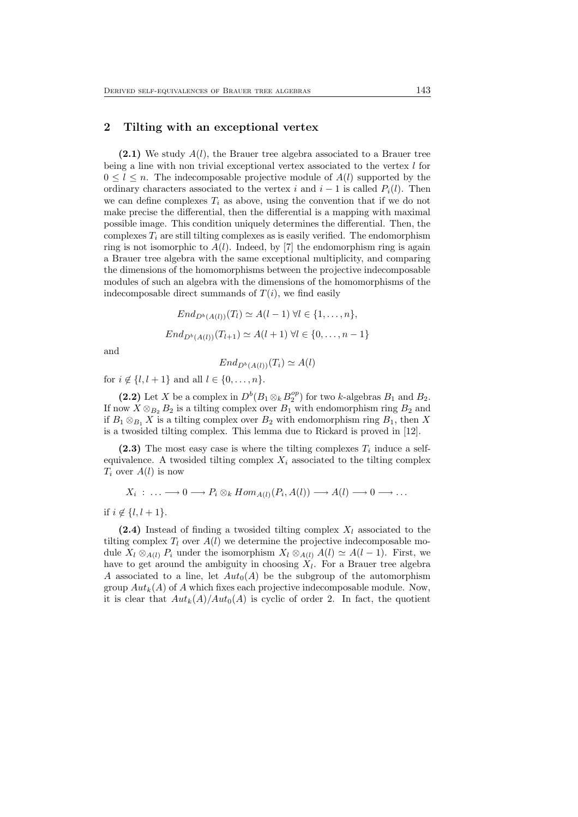# 2 Tilting with an exceptional vertex

 $(2.1)$  We study  $A(l)$ , the Brauer tree algebra associated to a Brauer tree being a line with non trivial exceptional vertex associated to the vertex l for  $0 \leq l \leq n$ . The indecomposable projective module of  $A(l)$  supported by the ordinary characters associated to the vertex i and  $i - 1$  is called  $P_i(l)$ . Then we can define complexes  $T_i$  as above, using the convention that if we do not make precise the differential, then the differential is a mapping with maximal possible image. This condition uniquely determines the differential. Then, the complexes  $T_i$  are still tilting complexes as is easily verified. The endomorphism ring is not isomorphic to  $A(l)$ . Indeed, by [7] the endomorphism ring is again a Brauer tree algebra with the same exceptional multiplicity, and comparing the dimensions of the homomorphisms between the projective indecomposable modules of such an algebra with the dimensions of the homomorphisms of the indecomposable direct summands of  $T(i)$ , we find easily

$$
End_{D^b(A(l))}(T_l) \simeq A(l-1) \,\forall l \in \{1, ..., n\},
$$
  

$$
End_{D^b(A(l))}(T_{l+1}) \simeq A(l+1) \,\forall l \in \{0, ..., n-1\}
$$

and

$$
End_{D^b(A(l))}(T_i) \simeq A(l)
$$

for  $i \notin \{l, l + 1\}$  and all  $l \in \{0, ..., n\}$ .

(2.2) Let X be a complex in  $D^b(B_1 \otimes_k B_2^{op})$  for two k-algebras  $B_1$  and  $B_2$ . If now  $X \otimes_{B_2} B_2$  is a tilting complex over  $B_1$  with endomorphism ring  $B_2$  and if  $B_1 \otimes_{B_1} X$  is a tilting complex over  $B_2$  with endomorphism ring  $B_1$ , then X is a twosided tilting complex. This lemma due to Rickard is proved in [12].

(2.3) The most easy case is where the tilting complexes  $T_i$  induce a selfequivalence. A twosided tilting complex  $X_i$  associated to the tilting complex  $T_i$  over  $A(l)$  is now

$$
X_i : \ldots \longrightarrow 0 \longrightarrow P_i \otimes_k Hom_{A(l)}(P_i, A(l)) \longrightarrow A(l) \longrightarrow 0 \longrightarrow \ldots
$$

if  $i \notin \{l, l+1\}.$ 

(2.4) Instead of finding a twosided tilting complex  $X_l$  associated to the tilting complex  $T_l$  over  $A(l)$  we determine the projective indecomposable module  $X_l \otimes_{A(l)} P_i$  under the isomorphism  $X_l \otimes_{A(l)} A(l) \simeq A(l-1)$ . First, we have to get around the ambiguity in choosing  $X_l$ . For a Brauer tree algebra A associated to a line, let  $Aut_0(A)$  be the subgroup of the automorphism group  $Aut_k(A)$  of A which fixes each projective indecomposable module. Now, it is clear that  $Aut_k(A)/Aut_0(A)$  is cyclic of order 2. In fact, the quotient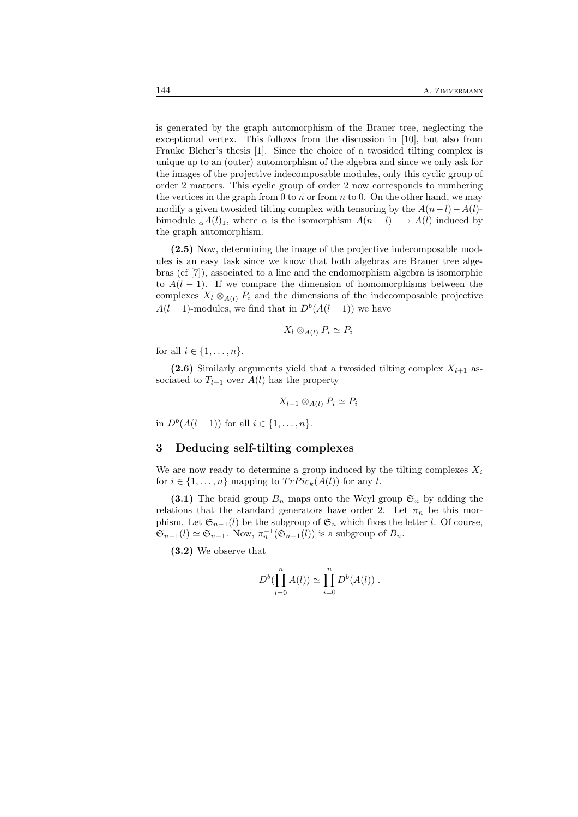is generated by the graph automorphism of the Brauer tree, neglecting the exceptional vertex. This follows from the discussion in [10], but also from Frauke Bleher's thesis [1]. Since the choice of a twosided tilting complex is unique up to an (outer) automorphism of the algebra and since we only ask for the images of the projective indecomposable modules, only this cyclic group of order 2 matters. This cyclic group of order 2 now corresponds to numbering the vertices in the graph from 0 to n or from n to 0. On the other hand, we may modify a given twosided tilting complex with tensoring by the  $A(n-l)-A(l)$ bimodule  $_{\alpha}A(l)_1$ , where  $\alpha$  is the isomorphism  $A(n-l) \longrightarrow A(l)$  induced by the graph automorphism.

(2.5) Now, determining the image of the projective indecomposable modules is an easy task since we know that both algebras are Brauer tree algebras (cf [7]), associated to a line and the endomorphism algebra is isomorphic to  $A(l-1)$ . If we compare the dimension of homomorphisms between the complexes  $X_l \otimes_{A(l)} P_i$  and the dimensions of the indecomposable projective  $A(l-1)$ -modules, we find that in  $D<sup>b</sup>(A(l-1))$  we have

$$
X_l \otimes_{A(l)} P_i \simeq P_i
$$

for all  $i \in \{1, \ldots, n\}$ .

(2.6) Similarly arguments yield that a twosided tilting complex  $X_{l+1}$  associated to  $T_{l+1}$  over  $A(l)$  has the property

$$
X_{l+1} \otimes_{A(l)} P_i \simeq P_i
$$

in  $D^{b}(A(l + 1))$  for all  $i \in \{1, ..., n\}$ .

# 3 Deducing self-tilting complexes

We are now ready to determine a group induced by the tilting complexes  $X_i$ for  $i \in \{1, \ldots, n\}$  mapping to  $TrPic_k(A(l))$  for any l.

(3.1) The braid group  $B_n$  maps onto the Weyl group  $\mathfrak{S}_n$  by adding the relations that the standard generators have order 2. Let  $\pi_n$  be this morphism. Let  $\mathfrak{S}_{n-1}(l)$  be the subgroup of  $\mathfrak{S}_n$  which fixes the letter l. Of course,  $\mathfrak{S}_{n-1}(l) \simeq \mathfrak{S}_{n-1}$ . Now,  $\pi_n^{-1}(\mathfrak{S}_{n-1}(l))$  is a subgroup of  $B_n$ .

(3.2) We observe that

$$
D^{b}(\prod_{l=0}^{n} A(l)) \simeq \prod_{i=0}^{n} D^{b}(A(l)) .
$$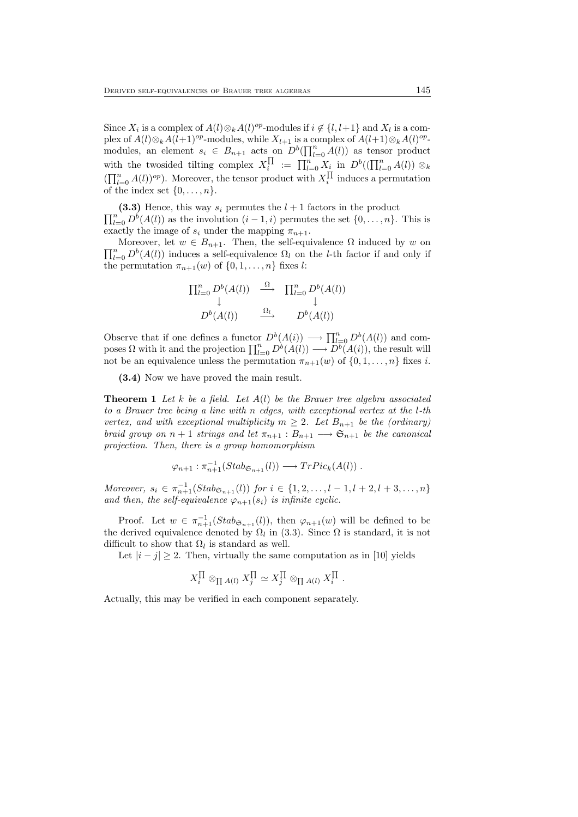Since  $X_i$  is a complex of  $A(l) \otimes_k A(l)^{op}$ -modules if  $i \notin \{l, l+1\}$  and  $X_l$  is a complex of  $A(l) \otimes_k A(l+1)^{op}$ -modules, while  $X_{l+1}$  is a complex of  $A(l+1) \otimes_k A(l)^{op}$ modules, an element  $s_i \in B_{n+1}$  acts on  $D^b(\prod_{l=0}^n A(l))$  as tensor product with the twosided tilting complex  $X_i^{\prod} := \prod_{l=0}^n X_i$  in  $D^b((\prod_{l=0}^n A(l)) \otimes_k$  $(\prod_{l=0}^{n} A(l))^{op}$ . Moreover, the tensor product with  $X_i^{\prod}$  induces a permutation of the index set  $\{0, \ldots, n\}.$ 

 $\prod_{l=0}^{n} D^{b}(A(l))$  as the involution  $(i - 1, i)$  permutes the set  $\{0, \ldots, n\}$ . This is (3.3) Hence, this way  $s_i$  permutes the  $l+1$  factors in the product exactly the image of  $s_i$  under the mapping  $\pi_{n+1}$ .

 $\prod_{l=0}^n D^b(A(l))$  induces a self-equivalence  $\Omega_l$  on the *l*-th factor if and only if Moreover, let  $w \in B_{n+1}$ . Then, the self-equivalence  $\Omega$  induced by w on the permutation  $\pi_{n+1}(w)$  of  $\{0, 1, \ldots, n\}$  fixes l:

$$
\Pi_{l=0}^{n} D^{b}(A(l)) \xrightarrow{\Omega} \Pi_{l=0}^{n} D^{b}(A(l))
$$
\n
$$
D^{b}(A(l)) \xrightarrow{\Omega_{l}} D^{b}(A(l))
$$

Observe that if one defines a functor  $D^b(A(i)) \longrightarrow \prod_{l=0}^n D^b(A(l))$  and composes  $\Omega$  with it and the projection  $\prod_{l=0}^n D^b(A(l)) \longrightarrow D^b(A(i))$ , the result will not be an equivalence unless the permutation  $\pi_{n+1}(w)$  of  $\{0, 1, \ldots, n\}$  fixes i.

(3.4) Now we have proved the main result.

**Theorem 1** Let k be a field. Let  $A(l)$  be the Brauer tree algebra associated to a Brauer tree being a line with n edges, with exceptional vertex at the l-th vertex, and with exceptional multiplicity  $m \geq 2$ . Let  $B_{n+1}$  be the (ordinary) braid group on  $n + 1$  strings and let  $\pi_{n+1} : B_{n+1} \longrightarrow \mathfrak{S}_{n+1}$  be the canonical projection. Then, there is a group homomorphism

$$
\varphi_{n+1} : \pi_{n+1}^{-1}(Stab_{\mathfrak{S}_{n+1}}(l)) \longrightarrow TrPic_k(A(l)) .
$$

Moreover,  $s_i \in \pi_{n+1}^{-1}(Stab_{\mathfrak{S}_{n+1}}(l))$  for  $i \in \{1, 2, ..., l-1, l+2, l+3, ..., n\}$ and then, the self-equivalence  $\varphi_{n+1}(s_i)$  is infinite cyclic.

Proof. Let  $w \in \pi_{n+1}^{-1}(Stab_{\mathfrak{S}_{n+1}}(l))$ , then  $\varphi_{n+1}(w)$  will be defined to be the derived equivalence denoted by  $\Omega_l$  in (3.3). Since  $\Omega$  is standard, it is not difficult to show that  $\Omega_l$  is standard as well.

Let  $|i - j| \ge 2$ . Then, virtually the same computation as in [10] yields

$$
X_i^{\Pi} \otimes_{\Pi A(l)} X_j^{\Pi} \simeq X_j^{\Pi} \otimes_{\Pi A(l)} X_i^{\Pi} .
$$

Actually, this may be verified in each component separately.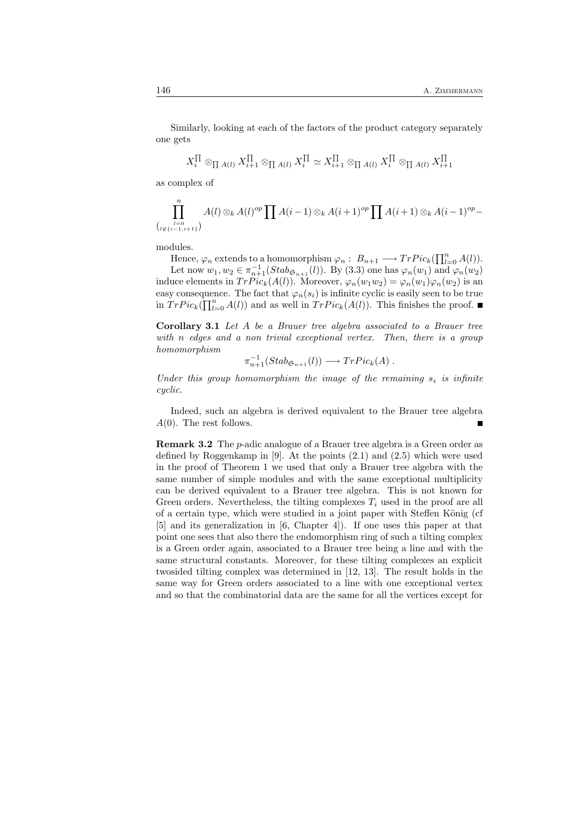Similarly, looking at each of the factors of the product category separately one gets

$$
X_i^{\Pi} \otimes_{\Pi A(l)} X_{i+1}^{\Pi} \otimes_{\Pi A(l)} X_i^{\Pi} \simeq X_{i+1}^{\Pi} \otimes_{\Pi A(l)} X_i^{\Pi} \otimes_{\Pi A(l)} X_{i+1}^{\Pi}
$$

as complex of

$$
\prod_{\stackrel{l=0}{\ldots} \atop{l \not\in \{i-1,i+1\}}}^n A(l) \otimes_k A(l)^{op} \prod A(i-1) \otimes_k A(i+1)^{op} \prod A(i+1) \otimes_k A(i-1)^{op} -
$$

modules.

(

Hence,  $\varphi_n$  extends to a homomorphism  $\varphi_n: B_{n+1} \longrightarrow Tr Pic_k(\prod_{l=0}^n A(l)).$ Let now  $w_1, w_2 \in \pi_{n+1}^{-1}(Stab_{\mathfrak{S}_{n+1}}(l))$ . By (3.3) one has  $\varphi_n(w_1)$  and  $\varphi_n(w_2)$ induce elements in  $TrPic_k(A(l))$ . Moreover,  $\varphi_n(w_1w_2) = \varphi_n(w_1)\varphi_n(w_2)$  is an easy consequence. The fact that  $\varphi_n(s_i)$  is infinite cyclic is easily seen to be true in  $TrPic_k(\prod_{l=0}^n A(l))$  and as well in  $TrPic_k(A(l))$ . This finishes the proof.

Corollary 3.1 Let A be a Brauer tree algebra associated to a Brauer tree with n edges and a non trivial exceptional vertex. Then, there is a group homomorphism

$$
\pi_{n+1}^{-1}(Stab_{\mathfrak{S}_{n+1}}(l)) \longrightarrow TrPic_k(A) .
$$

Under this group homomorphism the image of the remaining  $s_i$  is infinite cyclic.

Indeed, such an algebra is derived equivalent to the Brauer tree algebra  $A(0)$ . The rest follows.

Remark 3.2 The p-adic analogue of a Brauer tree algebra is a Green order as defined by Roggenkamp in [9]. At the points (2.1) and (2.5) which were used in the proof of Theorem 1 we used that only a Brauer tree algebra with the same number of simple modules and with the same exceptional multiplicity can be derived equivalent to a Brauer tree algebra. This is not known for Green orders. Nevertheless, the tilting complexes  $T_i$  used in the proof are all of a certain type, which were studied in a joint paper with Steffen König (cf [5] and its generalization in [6, Chapter 4]). If one uses this paper at that point one sees that also there the endomorphism ring of such a tilting complex is a Green order again, associated to a Brauer tree being a line and with the same structural constants. Moreover, for these tilting complexes an explicit twosided tilting complex was determined in [12, 13]. The result holds in the same way for Green orders associated to a line with one exceptional vertex and so that the combinatorial data are the same for all the vertices except for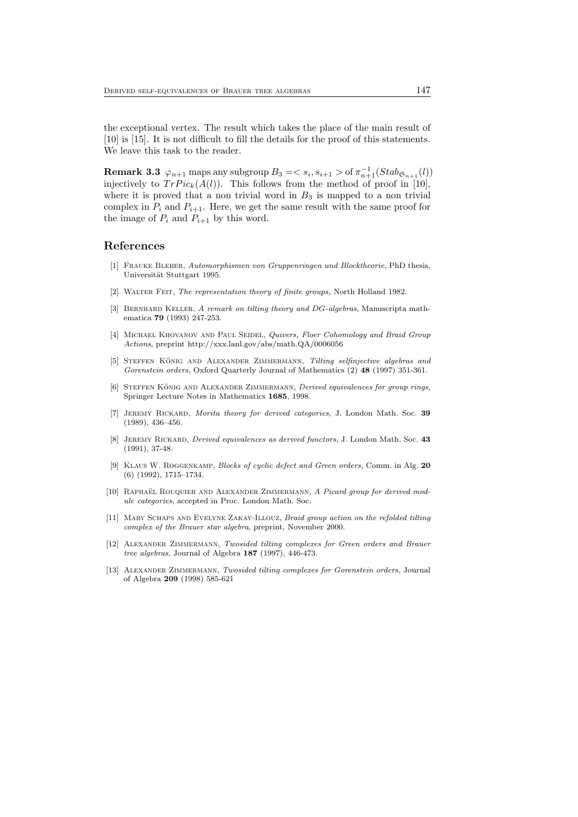the exceptional vertex. The result which takes the place of the main result of [10] is [15]. It is not difficult to fill the details for the proof of this statements. We leave this task to the reader.

**Remark 3.3**  $\varphi_{n+1}$  maps any subgroup  $B_3 = \langle s_i, s_{i+1} \rangle$  of  $\pi_{n+1}^{-1}(Stab_{\mathfrak{S}_{n+1}}(l))$ injectively to  $TrPic_k(A(l))$ . This follows from the method of proof in [10], where it is proved that a non trivial word in  $B_3$  is mapped to a non trivial complex in  $P_i$  and  $P_{i+1}$ . Here, we get the same result with the same proof for the image of  $P_i$  and  $P_{i+1}$  by this word.

# References

- [1] Frauke Bleher, Automorphismen von Gruppenringen und Blocktheorie, PhD thesis, Universität Stuttgart 1995.
- [2] WALTER FEIT, The representation theory of finite groups, North Holland 1982.
- [3] BERNHARD KELLER, A remark on tilting theory and DG-algebras, Manuscripta mathematica 79 (1993) 247-253.
- [4] MICHAEL KHOVANOV AND PAUL SEIDEL, Quivers, Floer Cohomology and Braid Group Actions, preprint http://xxx.lanl.gov/abs/math.QA/0006056
- [5] STEFFEN KÖNIG AND ALEXANDER ZIMMERMANN, Tilting selfinjective algebras and Gorenstein orders, Oxford Quarterly Journal of Mathematics (2) 48 (1997) 351-361.
- [6] STEFFEN KÖNIG AND ALEXANDER ZIMMERMANN, Derived equivalences for group rings, Springer Lecture Notes in Mathematics 1685, 1998.
- [7] Jeremy Rickard, Morita theory for derived categories, J. London Math. Soc. 39 (1989), 436–456.
- [8] JEREMY RICKARD, *Derived equivalences as derived functors*, J. London Math. Soc. 43 (1991), 37-48.
- [9] Klaus W. Roggenkamp, Blocks of cyclic defect and Green orders, Comm. in Alg. 20 (6) (1992), 1715–1734.
- [10] RAPHAEL ROUQUIER AND ALEXANDER ZIMMERMANN, A Picard group for derived module categories, accepted in Proc. London Math. Soc.
- [11] Mary Schaps and Evelyne Zakay-Illouz, Braid group action on the refolded tilting complex of the Brauer star algebra, preprint, November 2000.
- [12] Alexander Zimmermann, Twosided tilting complexes for Green orders and Brauer tree algebras, Journal of Algebra 187 (1997), 446-473.
- [13] ALEXANDER ZIMMERMANN, Twosided tilting complexes for Gorenstein orders, Journal of Algebra 209 (1998) 585-621